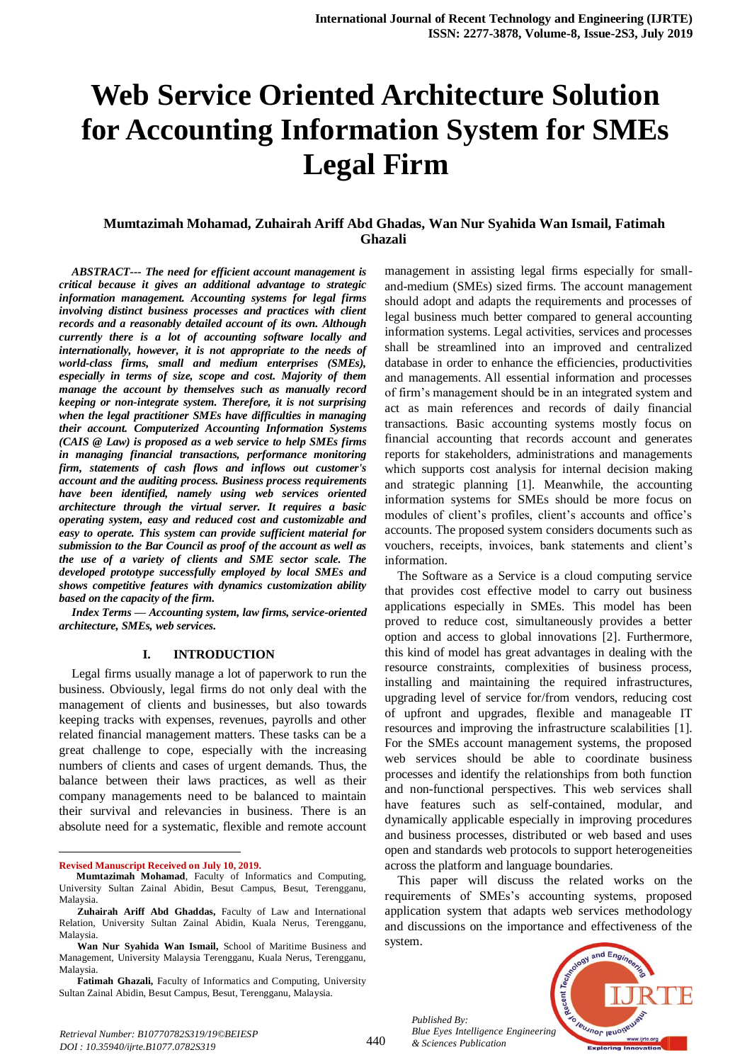# **Web Service Oriented Architecture Solution for Accounting Information System for SMEs Legal Firm**

# **Mumtazimah Mohamad, Zuhairah Ariff Abd Ghadas, Wan Nur Syahida Wan Ismail, Fatimah Ghazali**

*ABSTRACT--- The need for efficient account management is critical because it gives an additional advantage to strategic information management. Accounting systems for legal firms involving distinct business processes and practices with client records and a reasonably detailed account of its own. Although currently there is a lot of accounting software locally and internationally, however, it is not appropriate to the needs of world-class firms, small and medium enterprises (SMEs), especially in terms of size, scope and cost. Majority of them manage the account by themselves such as manually record keeping or non-integrate system. Therefore, it is not surprising when the legal practitioner SMEs have difficulties in managing their account. Computerized Accounting Information Systems (CAIS @ Law) is proposed as a web service to help SMEs firms in managing financial transactions, performance monitoring firm, statements of cash flows and inflows out customer's account and the auditing process. Business process requirements have been identified, namely using web services oriented architecture through the virtual server. It requires a basic operating system, easy and reduced cost and customizable and easy to operate. This system can provide sufficient material for submission to the Bar Council as proof of the account as well as the use of a variety of clients and SME sector scale. The developed prototype successfully employed by local SMEs and shows competitive features with dynamics customization ability based on the capacity of the firm.*

*Index Terms — Accounting system, law firms, service-oriented architecture, SMEs, web services.*

#### **I. INTRODUCTION**

Legal firms usually manage a lot of paperwork to run the business. Obviously, legal firms do not only deal with the management of clients and businesses, but also towards keeping tracks with expenses, revenues, payrolls and other related financial management matters. These tasks can be a great challenge to cope, especially with the increasing numbers of clients and cases of urgent demands. Thus, the balance between their laws practices, as well as their company managements need to be balanced to maintain their survival and relevancies in business. There is an absolute need for a systematic, flexible and remote account

**Revised Manuscript Received on July 10, 2019.**

 $\overline{a}$ 

management in assisting legal firms especially for smalland-medium (SMEs) sized firms. The account management should adopt and adapts the requirements and processes of legal business much better compared to general accounting information systems. Legal activities, services and processes shall be streamlined into an improved and centralized database in order to enhance the efficiencies, productivities and managements. All essential information and processes of firm's management should be in an integrated system and act as main references and records of daily financial transactions. Basic accounting systems mostly focus on financial accounting that records account and generates reports for stakeholders, administrations and managements which supports cost analysis for internal decision making and strategic planning [1]. Meanwhile, the accounting information systems for SMEs should be more focus on modules of client's profiles, client's accounts and office's accounts. The proposed system considers documents such as vouchers, receipts, invoices, bank statements and client's information.

The Software as a Service is a cloud computing service that provides cost effective model to carry out business applications especially in SMEs. This model has been proved to reduce cost, simultaneously provides a better option and access to global innovations [2]. Furthermore, this kind of model has great advantages in dealing with the resource constraints, complexities of business process, installing and maintaining the required infrastructures, upgrading level of service for/from vendors, reducing cost of upfront and upgrades, flexible and manageable IT resources and improving the infrastructure scalabilities [1]. For the SMEs account management systems, the proposed web services should be able to coordinate business processes and identify the relationships from both function and non-functional perspectives. This web services shall have features such as self-contained, modular, and dynamically applicable especially in improving procedures and business processes, distributed or web based and uses open and standards web protocols to support heterogeneities across the platform and language boundaries.

This paper will discuss the related works on the requirements of SMEs's accounting systems, proposed application system that adapts web services methodology and discussions on the importance and effectiveness of the system.

*Published By: Blue Eyes Intelligence Engineering & Sciences Publication* 



**Mumtazimah Mohamad**, Faculty of Informatics and Computing, University Sultan Zainal Abidin, Besut Campus, Besut, Terengganu, Malaysia.

**Zuhairah Ariff Abd Ghaddas,** Faculty of Law and International Relation, University Sultan Zainal Abidin, Kuala Nerus, Terengganu, Malaysia.

**Wan Nur Syahida Wan Ismail,** School of Maritime Business and Management, University Malaysia Terengganu, Kuala Nerus, Terengganu, Malaysia.

**Fatimah Ghazali,** Faculty of Informatics and Computing, University Sultan Zainal Abidin, Besut Campus, Besut, Terengganu, Malaysia.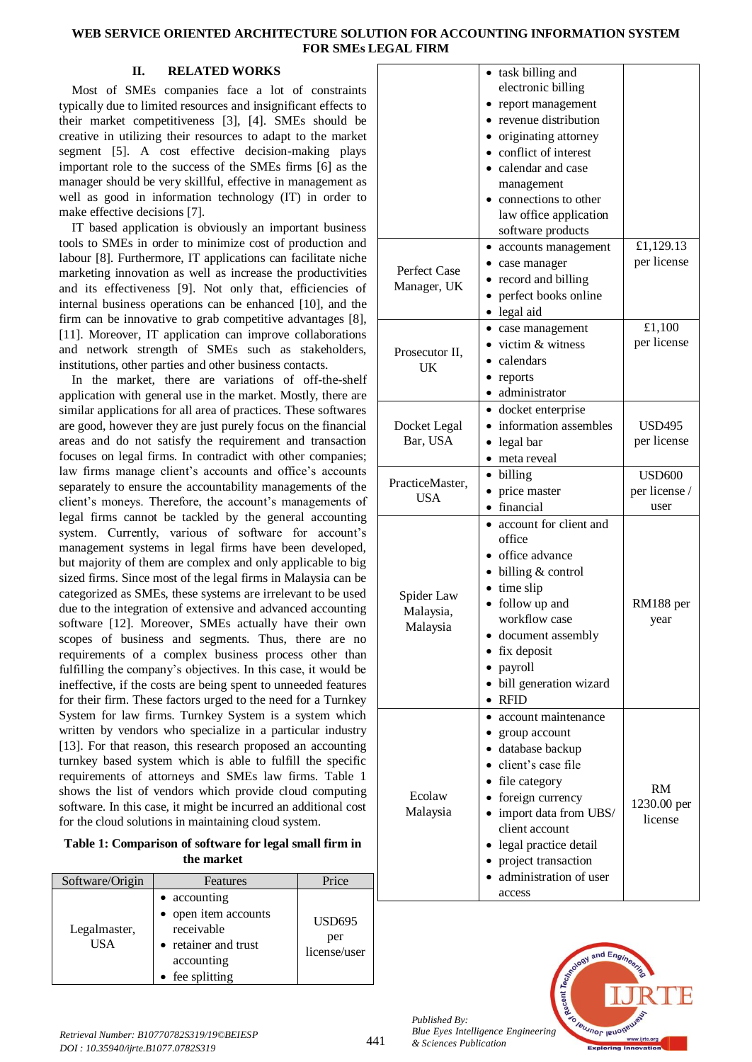# **WEB SERVICE ORIENTED ARCHITECTURE SOLUTION FOR ACCOUNTING INFORMATION SYSTEM FOR SMEs LEGAL FIRM**

# **II. RELATED WORKS**

Most of SMEs companies face a lot of constraints typically due to limited resources and insignificant effects to their market competitiveness [3], [4]. SMEs should be creative in utilizing their resources to adapt to the market segment [5]. A cost effective decision-making plays important role to the success of the SMEs firms [6] as the manager should be very skillful, effective in management as well as good in information technology (IT) in order to make effective decisions [7].

IT based application is obviously an important business tools to SMEs in order to minimize cost of production and labour [8]. Furthermore, IT applications can facilitate niche marketing innovation as well as increase the productivities and its effectiveness [9]. Not only that, efficiencies of internal business operations can be enhanced [10], and the firm can be innovative to grab competitive advantages [8], [11]. Moreover, IT application can improve collaborations and network strength of SMEs such as stakeholders, institutions, other parties and other business contacts.

In the market, there are variations of off-the-shelf application with general use in the market. Mostly, there are similar applications for all area of practices. These softwares are good, however they are just purely focus on the financial areas and do not satisfy the requirement and transaction focuses on legal firms. In contradict with other companies; law firms manage client's accounts and office's accounts separately to ensure the accountability managements of the client's moneys. Therefore, the account's managements of legal firms cannot be tackled by the general accounting system. Currently, various of software for account's management systems in legal firms have been developed, but majority of them are complex and only applicable to big sized firms. Since most of the legal firms in Malaysia can be categorized as SMEs, these systems are irrelevant to be used due to the integration of extensive and advanced accounting software [12]. Moreover, SMEs actually have their own scopes of business and segments. Thus, there are no requirements of a complex business process other than fulfilling the company's objectives. In this case, it would be ineffective, if the costs are being spent to unneeded features for their firm. These factors urged to the need for a Turnkey System for law firms. Turnkey System is a system which written by vendors who specialize in a particular industry [13]. For that reason, this research proposed an accounting turnkey based system which is able to fulfill the specific requirements of attorneys and SMEs law firms. Table 1 shows the list of vendors which provide cloud computing software. In this case, it might be incurred an additional cost for the cloud solutions in maintaining cloud system.

**Table 1: Comparison of software for legal small firm in the market**

| Software/Origin     | Features                                                                                                    | Price                                |
|---------------------|-------------------------------------------------------------------------------------------------------------|--------------------------------------|
| Legalmaster,<br>USA | • accounting<br>• open item accounts<br>receivable<br>• retainer and trust<br>accounting<br>• fee splitting | <b>USD695</b><br>per<br>license/user |

|                                     | task billing and<br>electronic billing<br>report management<br>revenue distribution<br>originating attorney<br>conflict of interest<br>calendar and case<br>management<br>connections to other<br>law office application<br>software products         |                                        |
|-------------------------------------|-------------------------------------------------------------------------------------------------------------------------------------------------------------------------------------------------------------------------------------------------------|----------------------------------------|
| Perfect Case<br>Manager, UK         | accounts management<br>case manager<br>record and billing<br>perfect books online<br>legal aid                                                                                                                                                        | £1,129.13<br>per license               |
| Prosecutor II,<br>UK                | • case management<br>victim & witness<br>calendars<br>reports<br>• administrator                                                                                                                                                                      | £1,100<br>per license                  |
| Docket Legal<br>Bar, USA            | • docket enterprise<br>• information assembles<br>• legal bar<br>meta reveal                                                                                                                                                                          | <b>USD495</b><br>per license           |
| PracticeMaster,<br><b>USA</b>       | billing<br>٠<br>price master<br>· financial                                                                                                                                                                                                           | <b>USD600</b><br>per license /<br>user |
| Spider Law<br>Malaysia,<br>Malaysia | account for client and<br>office<br>office advance<br>billing & control<br>time slip<br>follow up and<br>workflow case<br>document assembly<br>fix deposit<br>payroll<br>bill generation wizard<br><b>RFID</b>                                        | RM188 per<br>year                      |
| Ecolaw<br>Malaysia                  | account maintenance<br>group account<br>database backup<br>client's case file<br>• file category<br>• foreign currency<br>import data from UBS/<br>client account<br>legal practice detail<br>project transaction<br>administration of user<br>access | RM<br>1230.00 per<br>license           |



*Published By:*

*& Sciences Publication*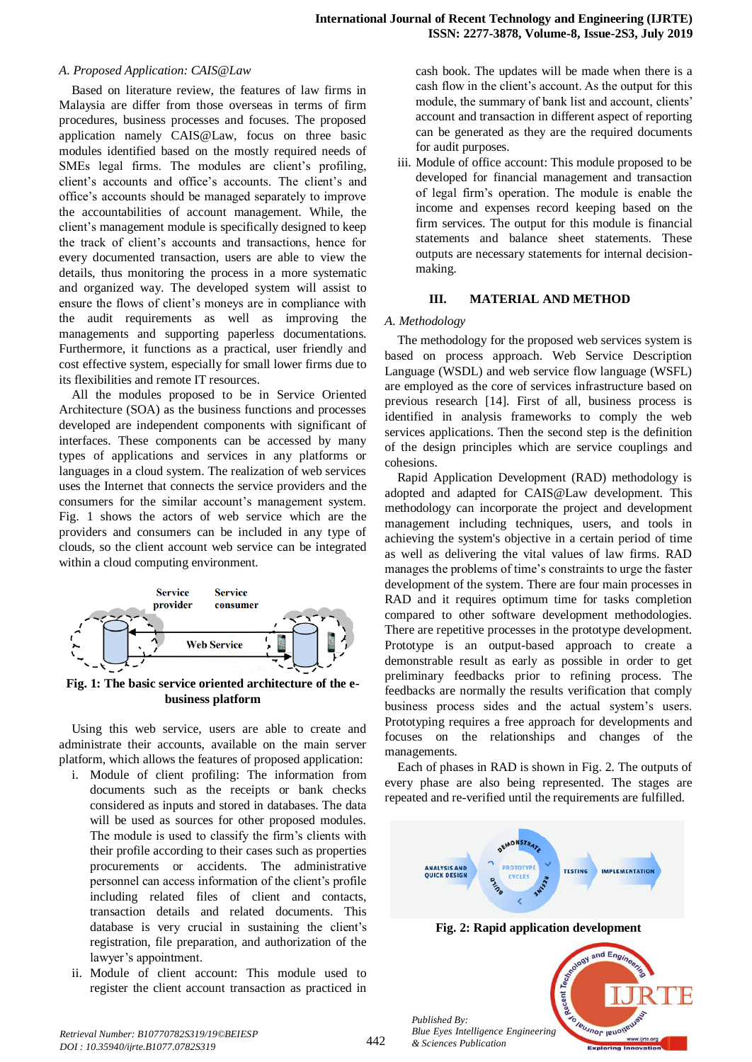#### *A. Proposed Application: CAIS@Law*

Based on literature review, the features of law firms in Malaysia are differ from those overseas in terms of firm procedures, business processes and focuses. The proposed application namely CAIS@Law, focus on three basic modules identified based on the mostly required needs of SMEs legal firms. The modules are client's profiling, client's accounts and office's accounts. The client's and office's accounts should be managed separately to improve the accountabilities of account management. While, the client's management module is specifically designed to keep the track of client's accounts and transactions, hence for every documented transaction, users are able to view the details, thus monitoring the process in a more systematic and organized way. The developed system will assist to ensure the flows of client's moneys are in compliance with the audit requirements as well as improving the managements and supporting paperless documentations. Furthermore, it functions as a practical, user friendly and cost effective system, especially for small lower firms due to its flexibilities and remote IT resources.

All the modules proposed to be in Service Oriented Architecture (SOA) as the business functions and processes developed are independent components with significant of interfaces. These components can be accessed by many types of applications and services in any platforms or languages in a cloud system. The realization of web services uses the Internet that connects the service providers and the consumers for the similar account's management system. Fig. 1 shows the actors of web service which are the providers and consumers can be included in any type of clouds, so the client account web service can be integrated within a cloud computing environment.



**Fig. 1: The basic service oriented architecture of the ebusiness platform**

Using this web service, users are able to create and administrate their accounts, available on the main server platform, which allows the features of proposed application:

- i. Module of client profiling: The information from documents such as the receipts or bank checks considered as inputs and stored in databases. The data will be used as sources for other proposed modules. The module is used to classify the firm's clients with their profile according to their cases such as properties procurements or accidents. The administrative personnel can access information of the client's profile including related files of client and contacts, transaction details and related documents. This database is very crucial in sustaining the client's registration, file preparation, and authorization of the lawyer's appointment.
- ii. Module of client account: This module used to register the client account transaction as practiced in

cash book. The updates will be made when there is a cash flow in the client's account. As the output for this module, the summary of bank list and account, clients' account and transaction in different aspect of reporting can be generated as they are the required documents for audit purposes.

iii. Module of office account: This module proposed to be developed for financial management and transaction of legal firm's operation. The module is enable the income and expenses record keeping based on the firm services. The output for this module is financial statements and balance sheet statements. These outputs are necessary statements for internal decisionmaking.

# **III. MATERIAL AND METHOD**

#### *A. Methodology*

The methodology for the proposed web services system is based on process approach. Web Service Description Language (WSDL) and web service flow language (WSFL) are employed as the core of services infrastructure based on previous research [14]. First of all, business process is identified in analysis frameworks to comply the web services applications. Then the second step is the definition of the design principles which are service couplings and cohesions.

Rapid Application Development (RAD) methodology is adopted and adapted for CAIS@Law development. This methodology can incorporate the project and development management including techniques, users, and tools in achieving the system's objective in a certain period of time as well as delivering the vital values of law firms. RAD manages the problems of time's constraints to urge the faster development of the system. There are four main processes in RAD and it requires optimum time for tasks completion compared to other software development methodologies. There are repetitive processes in the prototype development. Prototype is an output-based approach to create a demonstrable result as early as possible in order to get preliminary feedbacks prior to refining process. The feedbacks are normally the results verification that comply business process sides and the actual system's users. Prototyping requires a free approach for developments and focuses on the relationships and changes of the managements.

Each of phases in RAD is shown in Fig. 2. The outputs of every phase are also being represented. The stages are repeated and re-verified until the requirements are fulfilled.



**IBUJNOF IBUO** 

*Published By: Blue Eyes Intelligence Engineering & Sciences Publication*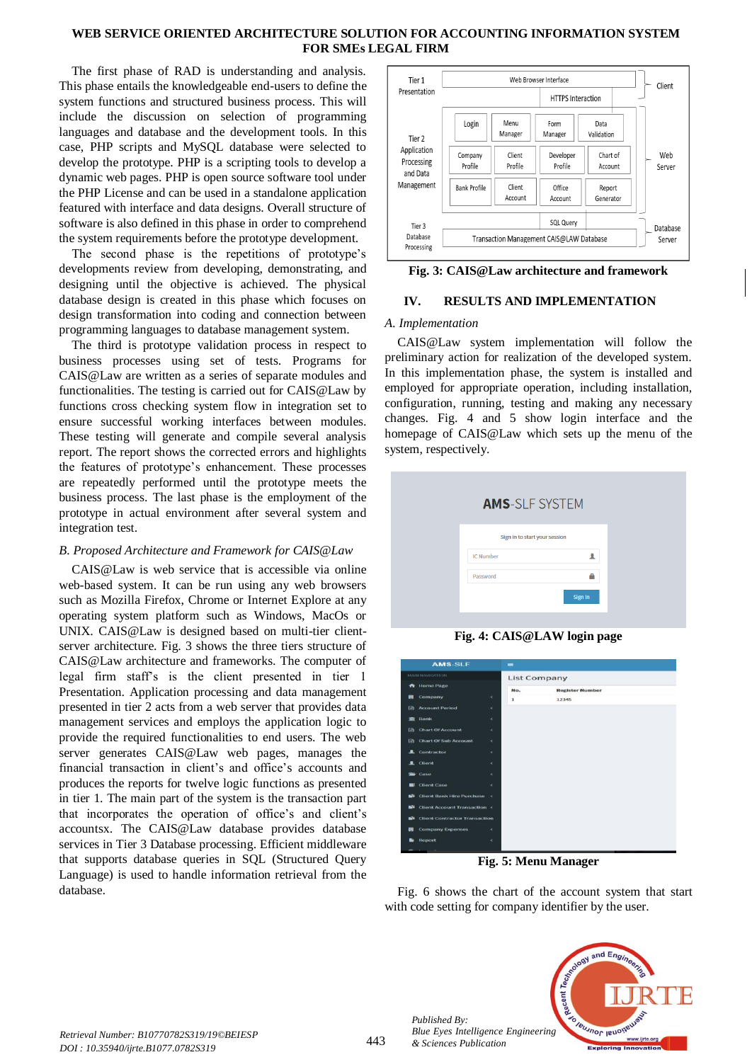# **WEB SERVICE ORIENTED ARCHITECTURE SOLUTION FOR ACCOUNTING INFORMATION SYSTEM FOR SMEs LEGAL FIRM**

The first phase of RAD is understanding and analysis. This phase entails the knowledgeable end-users to define the system functions and structured business process. This will include the discussion on selection of programming languages and database and the development tools. In this case, PHP scripts and MySQL database were selected to develop the prototype. PHP is a scripting tools to develop a dynamic web pages. PHP is open source software tool under the PHP License and can be used in a standalone application featured with interface and data designs. Overall structure of software is also defined in this phase in order to comprehend the system requirements before the prototype development.

The second phase is the repetitions of prototype's developments review from developing, demonstrating, and designing until the objective is achieved. The physical database design is created in this phase which focuses on design transformation into coding and connection between programming languages to database management system.

The third is prototype validation process in respect to business processes using set of tests. Programs for CAIS@Law are written as a series of separate modules and functionalities. The testing is carried out for CAIS@Law by functions cross checking system flow in integration set to ensure successful working interfaces between modules. These testing will generate and compile several analysis report. The report shows the corrected errors and highlights the features of prototype's enhancement. These processes are repeatedly performed until the prototype meets the business process. The last phase is the employment of the prototype in actual environment after several system and integration test.

# *B. Proposed Architecture and Framework for CAIS@Law*

CAIS@Law is web service that is accessible via online web-based system. It can be run using any web browsers such as Mozilla Firefox, Chrome or Internet Explore at any operating system platform such as Windows, MacOs or UNIX. CAIS@Law is designed based on multi-tier clientserver architecture. Fig. 3 shows the three tiers structure of CAIS@Law architecture and frameworks. The computer of legal firm staff's is the client presented in tier 1 Presentation. Application processing and data management presented in tier 2 acts from a web server that provides data management services and employs the application logic to provide the required functionalities to end users. The web server generates CAIS@Law web pages, manages the financial transaction in client's and office's accounts and produces the reports for twelve logic functions as presented in tier 1. The main part of the system is the transaction part that incorporates the operation of office's and client's accountsx. The CAIS@Law database provides database services in Tier 3 Database processing. Efficient middleware that supports database queries in SQL (Structured Query Language) is used to handle information retrieval from the database.



# **Fig. 3: CAIS@Law architecture and framework**

# **IV. RESULTS AND IMPLEMENTATION**

# *A. Implementation*

CAIS@Law system implementation will follow the preliminary action for realization of the developed system. In this implementation phase, the system is installed and employed for appropriate operation, including installation, configuration, running, testing and making any necessary changes. Fig. 4 and 5 show login interface and the homepage of CAIS@Law which sets up the menu of the system, respectively.

| <b>AMS-SLF SYSTEM</b>         |         |
|-------------------------------|---------|
| Sign in to start your session |         |
| <b>IC Number</b>              | ᇫ       |
| Password                      | e       |
|                               | Sign In |

**Fig. 4: CAIS@LAW login page**

| <b>AMS-SLF</b><br>FAAIN FAVOLATION |                                        |            | $\blacksquare$      |                        |  |  |  |
|------------------------------------|----------------------------------------|------------|---------------------|------------------------|--|--|--|
|                                    |                                        |            | <b>List Company</b> |                        |  |  |  |
|                                    | <b>ft</b> Home Page                    |            | No.                 | <b>Register Number</b> |  |  |  |
| m                                  | Company                                | $\epsilon$ | x                   | 12345                  |  |  |  |
| <b>D</b>                           | <b>Account Period</b>                  | $\epsilon$ |                     |                        |  |  |  |
| <b>TITLE</b>                       | Bank                                   | $\epsilon$ |                     |                        |  |  |  |
| <b>Call</b>                        | <b>Chart Of Account</b>                | $\epsilon$ |                     |                        |  |  |  |
| <b>Call</b>                        | <b>Chart Of Sub Account</b>            | $\epsilon$ |                     |                        |  |  |  |
|                                    | <b>2</b> Contractor                    | ×.         |                     |                        |  |  |  |
|                                    | 2 Client                               | $\epsilon$ |                     |                        |  |  |  |
|                                    | Caso                                   | $\epsilon$ |                     |                        |  |  |  |
| m                                  | <b>Client Case</b>                     | $\epsilon$ |                     |                        |  |  |  |
| n3                                 | <b>Client Bank Hire Purchase &lt;</b>  |            |                     |                        |  |  |  |
| and in                             | <b>Client Account Transaction &lt;</b> |            |                     |                        |  |  |  |
| a3a                                | <b>Client Contractor Transaction</b>   |            |                     |                        |  |  |  |
| m                                  | <b>Company Expenses</b>                | ×.         |                     |                        |  |  |  |
| ы                                  | Report                                 | ×          |                     |                        |  |  |  |
|                                    |                                        |            |                     |                        |  |  |  |

**Fig. 5: Menu Manager**

Fig. 6 shows the chart of the account system that start with code setting for company identifier by the user.



*Published By:*

*& Sciences Publication*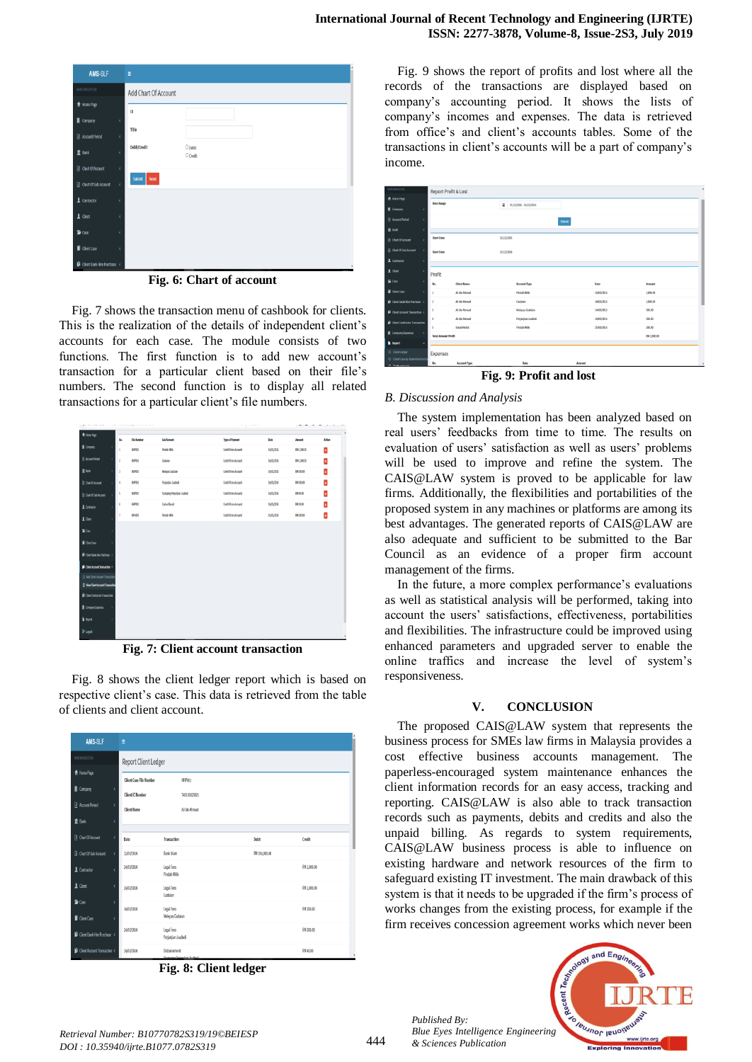| AMS-SLF                               | Ξ                                   |  |
|---------------------------------------|-------------------------------------|--|
| MAIN NAVIGATION                       | Add Chart Of Account                |  |
| A Home Page                           | ID                                  |  |
| Company<br>$\epsilon$                 |                                     |  |
| <b>B</b> Account Period<br>$\epsilon$ | Title                               |  |
| <b>童 Bank</b><br>k                    | Debit/Credit<br>O Debit<br>O Credit |  |
| <b>hart Of Account</b><br>$\zeta$     |                                     |  |
| @ Chart Of Sub Account<br>$\epsilon$  | Submit<br>Reset                     |  |
| 1 Contractor<br>$\epsilon$            |                                     |  |
| $\mathbf 1$ Client<br>$\epsilon$      |                                     |  |
| <b>G</b> Case<br>$\epsilon$           |                                     |  |
| Client Case<br>$\epsilon$             |                                     |  |
| <b>D</b> Client Bank Hire Purchase <  |                                     |  |

**Fig. 6: Chart of account**

Fig. 7 shows the transaction menu of cashbook for clients. This is the realization of the details of independent client's accounts for each case. The module consists of two functions. The first function is to add new account's transaction for a particular client based on their file's numbers. The second function is to display all related transactions for a particular client's file numbers.

| A RoneRep                                                       | N.             | <b>File Number</b> | Sub Account                  | <b>Type of Payment</b>     | Date       | Amount      | $\lambda$<br><b>Action</b> |
|-----------------------------------------------------------------|----------------|--------------------|------------------------------|----------------------------|------------|-------------|----------------------------|
| <b>B</b> Company<br>1                                           | 1              | HPXL               | <b>Findsh Milk</b>           | <b>Credit From Account</b> | 14/03/2016 | 981,000.00  | Ŀ                          |
| R Account Poriod<br>×                                           | $\overline{2}$ | HP011              | Gadalan                      | <b>Craft From Account</b>  | 14/03/2016 | 9841,000.00 | E                          |
| ft lank<br>ł                                                    | 3              | HPXII              | <b>Melepas Gadaian</b>       | <b>Credit From Account</b> | 14/03/2016 | 9430000     | z                          |
| <b>C</b> ChartOf Account<br>ł                                   | 4              | HPXI.              | Perjanjian Juabeli           | <b>Craft From Account</b>  | 14/03/2016 | 9430000     | Ŀ                          |
| @ CartOfSabAccount<br>ł                                         | 5              | HP011              | Stamping Perjanjian Jualbeli | <b>Cradit From Account</b> | 14/03/2016 | 93440.00    | z                          |
| 1 Contractor<br>ł                                               | 6              | HP011              | Carlan Rasmi                 | <b>Credit From Account</b> | 14/03/2016 | 98420.00    | z                          |
| $1$ Clert<br>ł                                                  | Ŷ.             | <b>HPA003</b>      | <b>Pindah Milik</b>          | <b>Craft From Account</b>  | 15/03/2016 | 9420000     | Þ                          |
| 备Cae<br>ï                                                       |                |                    |                              |                            |            |             |                            |
| GertCase                                                        |                |                    |                              |                            |            |             |                            |
| <b>D</b> Clent Bank Hoe Purchase <                              |                |                    |                              |                            |            |             |                            |
|                                                                 |                |                    |                              |                            |            |             |                            |
| Glent Account Transaction ~<br>O Add Client Account Transaction |                |                    |                              |                            |            |             |                            |
| Q View Client Account Transaction                               |                |                    |                              |                            |            |             |                            |
| <sup>1</sup> Client Contractor Transaction                      |                |                    |                              |                            |            |             |                            |
| Company Expenses                                                |                |                    |                              |                            |            |             |                            |
| <b>B</b> Root                                                   |                |                    |                              |                            |            |             |                            |
| <b>C</b> trent                                                  |                |                    |                              |                            |            |             |                            |
|                                                                 |                |                    |                              |                            |            |             | $\check{~}$                |

**Fig. 7: Client account transaction**

Fig. 8 shows the client ledger report which is based on respective client's case. This data is retrieved from the table of clients and client account.

| AMS-SLF                                                  | Ξ                              |                                                     |               |             |  |  |  |  |
|----------------------------------------------------------|--------------------------------|-----------------------------------------------------|---------------|-------------|--|--|--|--|
| <b>MAIN NAVIGATION</b>                                   |                                | <b>Report Client Ledger</b>                         |               |             |  |  |  |  |
| <b>合 Home Page</b>                                       | <b>Client Case File Number</b> | HHPW1                                               |               |             |  |  |  |  |
| Company<br>$\epsilon$                                    | <b>Client IC Number</b>        | 740103025021                                        |               |             |  |  |  |  |
| <b>Account Period</b><br>$\epsilon$                      | <b>Client Name</b>             | Ali bin Ahmad                                       |               |             |  |  |  |  |
| <b>童 Bank</b><br>ł                                       |                                |                                                     |               |             |  |  |  |  |
| <b>B</b> Chart Of Account<br>$\epsilon$                  | Date                           | Transaction                                         | Debit         | Credit      |  |  |  |  |
| <b>B</b> Chart Of Sub Account<br>$\epsilon$              | 12/03/2016                     | <b>Bank Islam</b>                                   | RM 350,000.00 |             |  |  |  |  |
| L Contractor<br>z                                        | 14/03/2016                     | Legal Fees<br><b>Pindah Milik</b>                   |               | RM 1,000.00 |  |  |  |  |
| $\perp$ Client<br>$\epsilon$                             | 14/03/2016                     | Legal Fees<br>Gadaian                               |               | RM 1,000.00 |  |  |  |  |
| <b>旨</b> Case<br>$\epsilon$<br>Client Case<br>$\epsilon$ | 14/03/2016                     | Legal Fees<br>Melepas Gadaian                       |               | RM 300.00   |  |  |  |  |
| <b>Client Bank Hire Purchase &lt;</b>                    | 14/03/2016                     | Legal Fees<br>Perjanjian Jualbeli                   |               | RM 300.00   |  |  |  |  |
| <b>Client Account Transaction &lt;</b>                   | 14/03/2016                     | Disbursement<br><b>Consider Budgetten Instituti</b> |               | RM 40.00    |  |  |  |  |

**Fig. 8: Client ledger**

Fig. 9 shows the report of profits and lost where all the records of the transactions are displayed based on company's accounting period. It shows the lists of company's incomes and expenses. The data is retrieved from office's and client's accounts tables. Some of the transactions in client's accounts will be a part of company's income.

| <b><i>MINIMAGEON</i></b>                        | <b>Report Profit &amp; Lost</b> |                     |            |                           |        |            |               |  |
|-------------------------------------------------|---------------------------------|---------------------|------------|---------------------------|--------|------------|---------------|--|
| <b>A</b> Home Page                              | <b>Date Range</b>               |                     |            |                           |        |            |               |  |
| <b>R</b> Company<br>٠                           |                                 |                     |            | ■ 31/12/2015 - 31/12/2016 |        |            |               |  |
| <b>R</b> Account Period<br>x                    |                                 |                     |            |                           | Submit |            |               |  |
| 盒 Bank<br>٠                                     |                                 |                     |            |                           |        |            |               |  |
| <b>R</b> Chart Of Account<br>×                  | <b>Start Date</b>               |                     | 31/12/2015 |                           |        |            |               |  |
| <b>@ Chart Of Sub Account</b><br>$\epsilon$     | <b>Start Date</b>               |                     | 31/12/2016 |                           |        |            |               |  |
| <b>1</b> Contractor<br>×                        |                                 |                     |            |                           |        |            |               |  |
| 1 Client<br>x                                   | Profit                          |                     |            |                           |        |            |               |  |
| 备 Case<br>x                                     | No.                             | <b>Client Name</b>  |            | <b>Account Type</b>       |        | Date       | <b>Amount</b> |  |
| Giort Case<br>×                                 | ı                               | Ali bin Ahmad       |            | <b>Pindah Milik</b>       |        | 14/03/2006 | 1,000.00      |  |
| Giort Bank Hire Purchase <                      | $\overline{a}$                  | Ali bin Ahmad       |            | Gadalan                   |        | 14/03/2006 | 1,000.00      |  |
| <b>B</b> Client Account Transaction <           | $\overline{\mathbf{3}}$         | All bin Ahmad       |            | <b>Melepas Gadalan</b>    |        | 14/03/2016 | 300.00        |  |
| <b>B</b> Client Contractor Transaction          | Ą                               | Ali bin Ahmad       |            | Perjanjian Jualbeli       |        | 14/03/2006 | 300.00        |  |
| $\epsilon$                                      | s                               | <b>Ismail Mohd</b>  |            | <b>Pindah Milik</b>       |        | 15/03/2016 | 200.00        |  |
| <b>R</b> Company Expenses                       | <b>Total Amount Profit</b>      |                     |            |                           |        |            | RM 2,800.00   |  |
| <b>B</b> Report<br>$\checkmark$                 |                                 |                     |            |                           |        |            |               |  |
| O ClentLodger                                   | Expenses                        |                     |            |                           |        |            |               |  |
| O Client Case by Bank Hire Purch<br>A Bottomber | No.                             | <b>Account Type</b> |            | Date                      | Amount |            |               |  |

**Fig. 9: Profit and lost**

#### *B. Discussion and Analysis*

The system implementation has been analyzed based on real users' feedbacks from time to time. The results on evaluation of users' satisfaction as well as users' problems will be used to improve and refine the system. The CAIS@LAW system is proved to be applicable for law firms. Additionally, the flexibilities and portabilities of the proposed system in any machines or platforms are among its best advantages. The generated reports of CAIS@LAW are also adequate and sufficient to be submitted to the Bar Council as an evidence of a proper firm account management of the firms.

In the future, a more complex performance's evaluations as well as statistical analysis will be performed, taking into account the users' satisfactions, effectiveness, portabilities and flexibilities. The infrastructure could be improved using enhanced parameters and upgraded server to enable the online traffics and increase the level of system's responsiveness.

#### **V. CONCLUSION**

The proposed CAIS@LAW system that represents the business process for SMEs law firms in Malaysia provides a cost effective business accounts management. The paperless-encouraged system maintenance enhances the client information records for an easy access, tracking and reporting. CAIS@LAW is also able to track transaction records such as payments, debits and credits and also the unpaid billing. As regards to system requirements, CAIS@LAW business process is able to influence on existing hardware and network resources of the firm to safeguard existing IT investment. The main drawback of this system is that it needs to be upgraded if the firm's process of works changes from the existing process, for example if the firm receives concession agreement works which never been